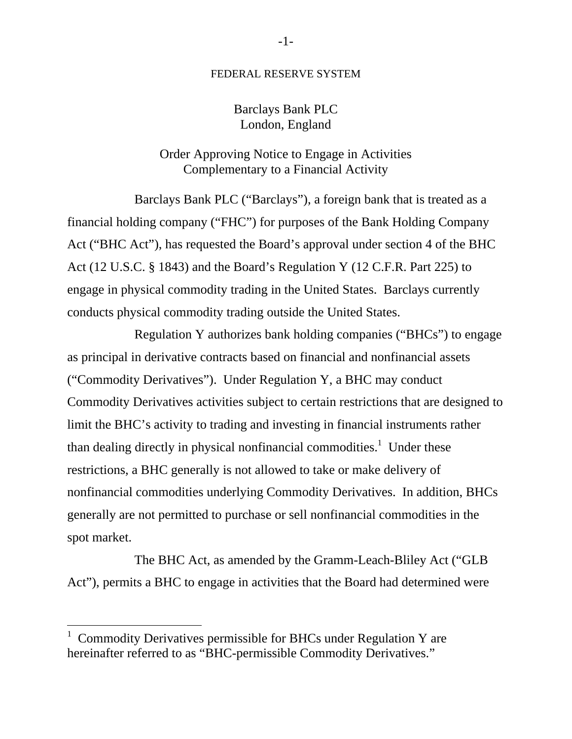## FEDERAL RESERVE SYSTEM

## Barclays Bank PLC London, England

## Order Approving Notice to Engage in Activities Complementary to a Financial Activity

Barclays Bank PLC ("Barclays"), a foreign bank that is treated as a financial holding company ("FHC") for purposes of the Bank Holding Company Act ("BHC Act"), has requested the Board's approval under section 4 of the BHC Act (12 U.S.C. § 1843) and the Board's Regulation Y (12 C.F.R. Part 225) to engage in physical commodity trading in the United States. Barclays currently conducts physical commodity trading outside the United States.

Regulation Y authorizes bank holding companies ("BHCs") to engage as principal in derivative contracts based on financial and nonfinancial assets ("Commodity Derivatives"). Under Regulation Y, a BHC may conduct Commodity Derivatives activities subject to certain restrictions that are designed to limit the BHC's activity to trading and investing in financial instruments rather than dealing directly in physical nonfinancial commodities.<sup>1</sup> Under these restrictions, a BHC generally is not allowed to take or make delivery of nonfinancial commodities underlying Commodity Derivatives. In addition, BHCs generally are not permitted to purchase or sell nonfinancial commodities in the spot market.

The BHC Act, as amended by the Gramm-Leach-Bliley Act ("GLB Act"), permits a BHC to engage in activities that the Board had determined were

 $1$  Commodity Derivatives permissible for BHCs under Regulation Y are hereinafter referred to as "BHC-permissible Commodity Derivatives."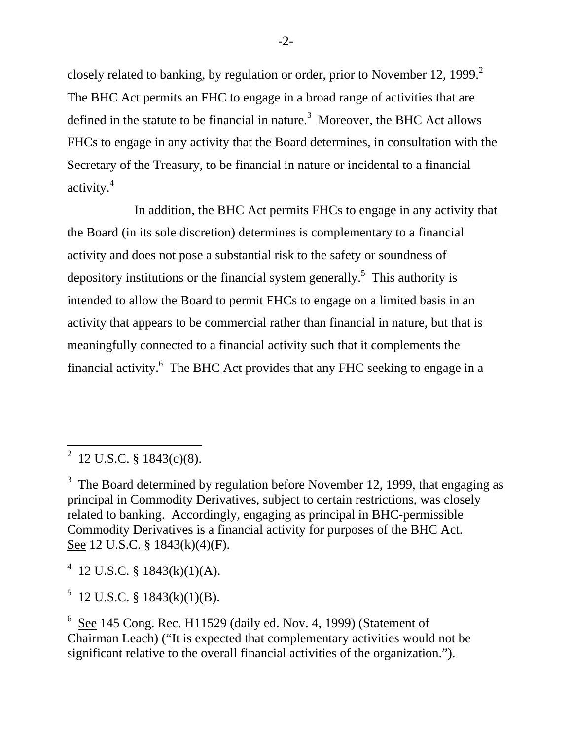closely related to banking, by regulation or order, prior to November 12, 1999.<sup>2</sup> The BHC Act permits an FHC to engage in a broad range of activities that are defined in the statute to be financial in nature.<sup>3</sup> Moreover, the BHC Act allows FHCs to engage in any activity that the Board determines, in consultation with the Secretary of the Treasury, to be financial in nature or incidental to a financial activity.4

In addition, the BHC Act permits FHCs to engage in any activity that the Board (in its sole discretion) determines is complementary to a financial activity and does not pose a substantial risk to the safety or soundness of depository institutions or the financial system generally.<sup>5</sup> This authority is intended to allow the Board to permit FHCs to engage on a limited basis in an activity that appears to be commercial rather than financial in nature, but that is meaningfully connected to a financial activity such that it complements the financial activity.6 The BHC Act provides that any FHC seeking to engage in a

<sup>4</sup> 12 U.S.C. § 1843(k)(1)(A).

 $5$  12 U.S.C. § 1843(k)(1)(B).

<sup>&</sup>lt;sup>2</sup> 12 U.S.C. § 1843(c)(8).

<sup>&</sup>lt;sup>3</sup> The Board determined by regulation before November 12, 1999, that engaging as principal in Commodity Derivatives, subject to certain restrictions, was closely related to banking. Accordingly, engaging as principal in BHC-permissible Commodity Derivatives is a financial activity for purposes of the BHC Act. See 12 U.S.C. § 1843(k)(4)(F).

 $6$  See 145 Cong. Rec. H11529 (daily ed. Nov. 4, 1999) (Statement of Chairman Leach) ("It is expected that complementary activities would not be significant relative to the overall financial activities of the organization.").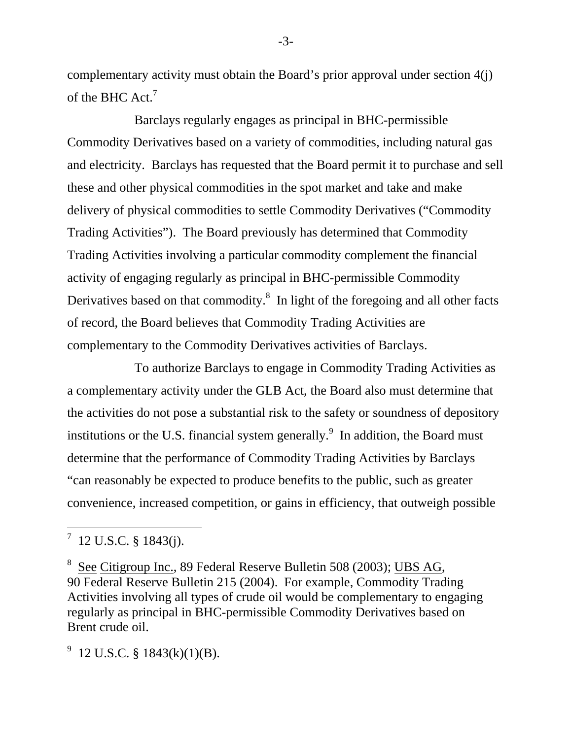complementary activity must obtain the Board's prior approval under section 4(j) of the BHC Act.<sup>7</sup>

Barclays regularly engages as principal in BHC-permissible Commodity Derivatives based on a variety of commodities, including natural gas and electricity. Barclays has requested that the Board permit it to purchase and sell these and other physical commodities in the spot market and take and make delivery of physical commodities to settle Commodity Derivatives ("Commodity Trading Activities"). The Board previously has determined that Commodity Trading Activities involving a particular commodity complement the financial activity of engaging regularly as principal in BHC-permissible Commodity Derivatives based on that commodity.<sup>8</sup> In light of the foregoing and all other facts of record, the Board believes that Commodity Trading Activities are complementary to the Commodity Derivatives activities of Barclays.

To authorize Barclays to engage in Commodity Trading Activities as a complementary activity under the GLB Act, the Board also must determine that the activities do not pose a substantial risk to the safety or soundness of depository institutions or the U.S. financial system generally.<sup>9</sup> In addition, the Board must determine that the performance of Commodity Trading Activities by Barclays "can reasonably be expected to produce benefits to the public, such as greater convenience, increased competition, or gains in efficiency, that outweigh possible

 $9$  12 U.S.C. § 1843(k)(1)(B).

-3-

<sup>7 12</sup> U.S.C. § 1843(j).

<sup>8</sup> See Citigroup Inc., 89 Federal Reserve Bulletin 508 (2003); UBS AG, 90 Federal Reserve Bulletin 215 (2004). For example, Commodity Trading Activities involving all types of crude oil would be complementary to engaging regularly as principal in BHC-permissible Commodity Derivatives based on Brent crude oil.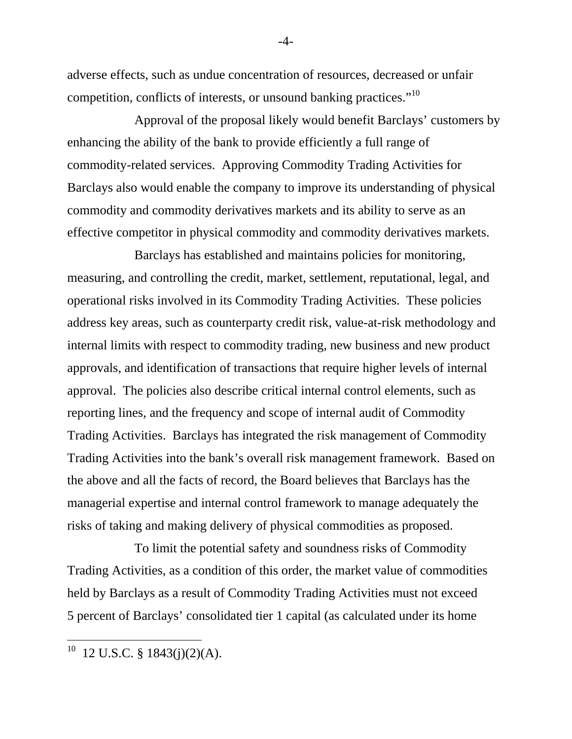adverse effects, such as undue concentration of resources, decreased or unfair competition, conflicts of interests, or unsound banking practices."<sup>10</sup>

Approval of the proposal likely would benefit Barclays' customers by enhancing the ability of the bank to provide efficiently a full range of commodity-related services. Approving Commodity Trading Activities for Barclays also would enable the company to improve its understanding of physical commodity and commodity derivatives markets and its ability to serve as an effective competitor in physical commodity and commodity derivatives markets.

Barclays has established and maintains policies for monitoring, measuring, and controlling the credit, market, settlement, reputational, legal, and operational risks involved in its Commodity Trading Activities. These policies address key areas, such as counterparty credit risk, value-at-risk methodology and internal limits with respect to commodity trading, new business and new product approvals, and identification of transactions that require higher levels of internal approval. The policies also describe critical internal control elements, such as reporting lines, and the frequency and scope of internal audit of Commodity Trading Activities. Barclays has integrated the risk management of Commodity Trading Activities into the bank's overall risk management framework. Based on the above and all the facts of record, the Board believes that Barclays has the managerial expertise and internal control framework to manage adequately the risks of taking and making delivery of physical commodities as proposed.

To limit the potential safety and soundness risks of Commodity Trading Activities, as a condition of this order, the market value of commodities held by Barclays as a result of Commodity Trading Activities must not exceed 5 percent of Barclays' consolidated tier 1 capital (as calculated under its home

-4-

 $10$  12 U.S.C. § 1843(j)(2)(A).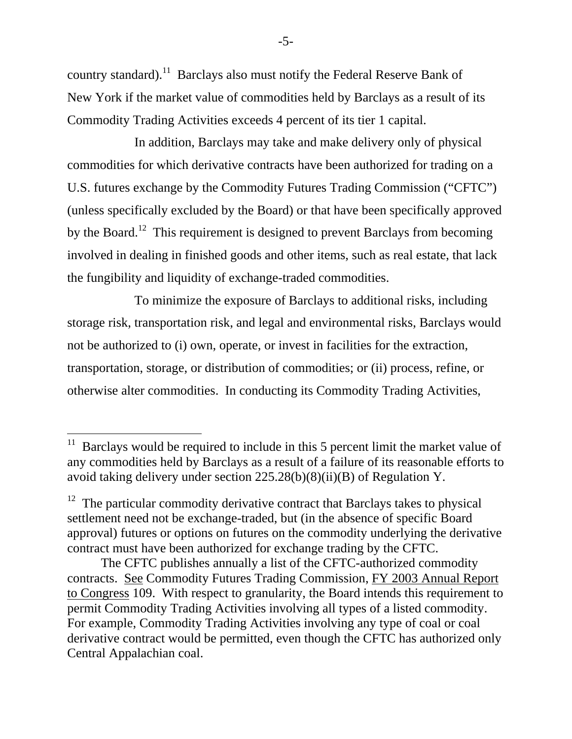country standard).<sup>11</sup> Barclays also must notify the Federal Reserve Bank of New York if the market value of commodities held by Barclays as a result of its Commodity Trading Activities exceeds 4 percent of its tier 1 capital.

In addition, Barclays may take and make delivery only of physical commodities for which derivative contracts have been authorized for trading on a U.S. futures exchange by the Commodity Futures Trading Commission ("CFTC") (unless specifically excluded by the Board) or that have been specifically approved by the Board.<sup>12</sup> This requirement is designed to prevent Barclays from becoming involved in dealing in finished goods and other items, such as real estate, that lack the fungibility and liquidity of exchange-traded commodities.

To minimize the exposure of Barclays to additional risks, including storage risk, transportation risk, and legal and environmental risks, Barclays would not be authorized to (i) own, operate, or invest in facilities for the extraction, transportation, storage, or distribution of commodities; or (ii) process, refine, or otherwise alter commodities. In conducting its Commodity Trading Activities,

 $11$  Barclays would be required to include in this 5 percent limit the market value of any commodities held by Barclays as a result of a failure of its reasonable efforts to avoid taking delivery under section 225.28(b)(8)(ii)(B) of Regulation Y.

 $12$  The particular commodity derivative contract that Barclays takes to physical settlement need not be exchange-traded, but (in the absence of specific Board approval) futures or options on futures on the commodity underlying the derivative contract must have been authorized for exchange trading by the CFTC.

The CFTC publishes annually a list of the CFTC-authorized commodity contracts. See Commodity Futures Trading Commission, FY 2003 Annual Report to Congress 109. With respect to granularity, the Board intends this requirement to permit Commodity Trading Activities involving all types of a listed commodity. For example, Commodity Trading Activities involving any type of coal or coal derivative contract would be permitted, even though the CFTC has authorized only Central Appalachian coal.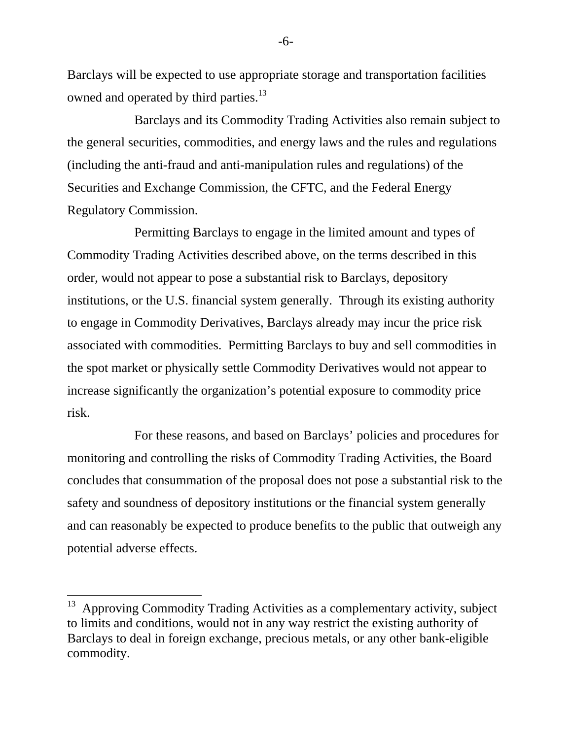Barclays will be expected to use appropriate storage and transportation facilities owned and operated by third parties.<sup>13</sup>

Barclays and its Commodity Trading Activities also remain subject to the general securities, commodities, and energy laws and the rules and regulations (including the anti-fraud and anti-manipulation rules and regulations) of the Securities and Exchange Commission, the CFTC, and the Federal Energy Regulatory Commission.

Permitting Barclays to engage in the limited amount and types of Commodity Trading Activities described above, on the terms described in this order, would not appear to pose a substantial risk to Barclays, depository institutions, or the U.S. financial system generally. Through its existing authority to engage in Commodity Derivatives, Barclays already may incur the price risk associated with commodities. Permitting Barclays to buy and sell commodities in the spot market or physically settle Commodity Derivatives would not appear to increase significantly the organization's potential exposure to commodity price risk.

For these reasons, and based on Barclays' policies and procedures for monitoring and controlling the risks of Commodity Trading Activities, the Board concludes that consummation of the proposal does not pose a substantial risk to the safety and soundness of depository institutions or the financial system generally and can reasonably be expected to produce benefits to the public that outweigh any potential adverse effects.

-6-

<sup>&</sup>lt;sup>13</sup> Approving Commodity Trading Activities as a complementary activity, subject to limits and conditions, would not in any way restrict the existing authority of Barclays to deal in foreign exchange, precious metals, or any other bank-eligible commodity.